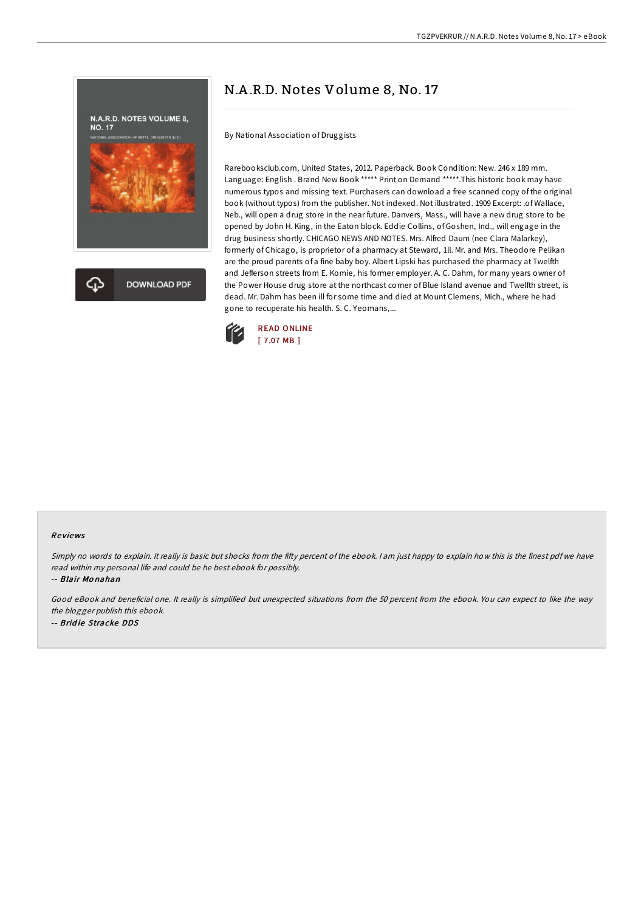

# N.A .R.D. Notes Volume 8, No. 17

By National Association of Druggists

Rarebooksclub.com, United States, 2012. Paperback. Book Condition: New. 246 x 189 mm. Language: English . Brand New Book \*\*\*\*\* Print on Demand \*\*\*\*\*.This historic book may have numerous typos and missing text. Purchasers can download a free scanned copy of the original book (without typos) from the publisher. Not indexed. Not illustrated. 1909 Excerpt: .of Wallace, Neb., will open a drug store in the near future. Danvers, Mass., will have a new drug store to be opened by John H. King, in the Eaton block. Eddie Collins, of Goshen, Ind., will engage in the drug business shortly. CHICAGO NEWS AND NOTES. Mrs. Alfred Daum (nee Clara Malarkey), formerly of Chicago, is proprietor of a pharmacy at Steward, 1ll. Mr. and Mrs. Theodore Pelikan are the proud parents of a fine baby boy. Albert Lipski has purchased the pharmacy at Twelfth and Jefferson streets from E. Komie, his former employer. A. C. Dahm, for many years owner of the Power House drug store at the northcast corner of Blue Island avenue and Twelfth street, is dead. Mr. Dahm has been ill for some time and died at Mount Clemens, Mich., where he had gone to recuperate his health. S. C. Yeomans,...



#### Re views

Simply no words to explain. It really is basic but shocks from the fifty percent of the ebook. I am just happy to explain how this is the finest pdf we have read within my personal life and could be he best ebook for possibly.

-- Blair Mo nahan

Good eBook and beneficial one. It really is simplified but unexpected situations from the 50 percent from the ebook. You can expect to like the way the blogger publish this ebook. -- Brid ie Stracke DDS